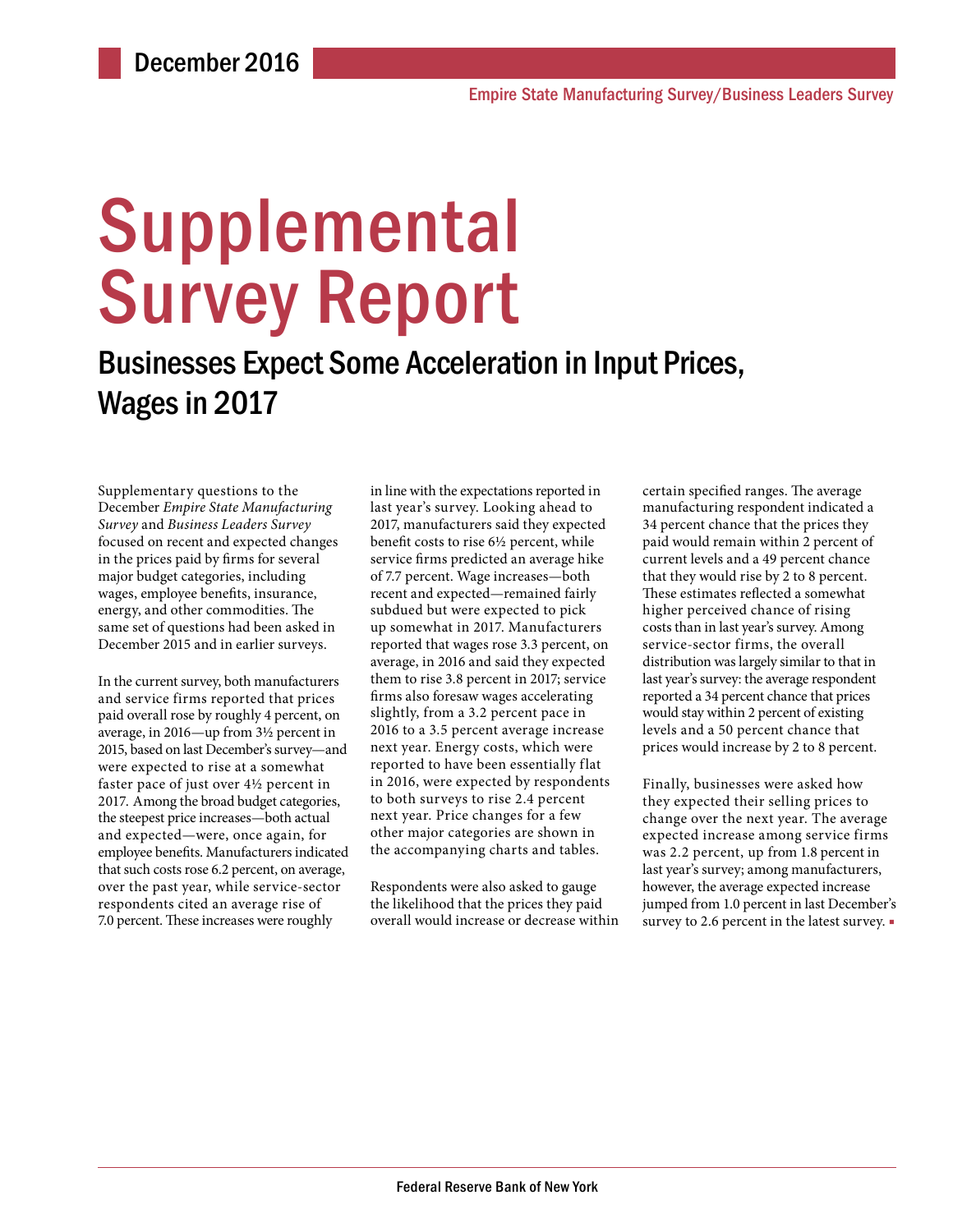# **Supplemental** Survey Report

# Businesses Expect Some Acceleration in Input Prices, Wages in 2017

Supplementary questions to the December *Empire State Manufacturing Survey* and *Business Leaders Survey* focused on recent and expected changes in the prices paid by firms for several major budget categories, including wages, employee benefits, insurance, energy, and other commodities. The same set of questions had been asked in December 2015 and in earlier surveys.

In the current survey, both manufacturers and service firms reported that prices paid overall rose by roughly 4 percent, on average, in 2016—up from 3½ percent in 2015, based on last December's survey—and were expected to rise at a somewhat faster pace of just over 4½ percent in 2017. Among the broad budget categories, the steepest price increases—both actual and expected—were, once again, for employee benefits. Manufacturers indicated that such costs rose 6.2 percent, on average, over the past year, while service-sector respondents cited an average rise of 7.0 percent. These increases were roughly

in line with the expectations reported in last year's survey. Looking ahead to 2017, manufacturers said they expected benefit costs to rise 6½ percent, while service firms predicted an average hike of 7.7 percent. Wage increases—both recent and expected—remained fairly subdued but were expected to pick up somewhat in 2017. Manufacturers reported that wages rose 3.3 percent, on average, in 2016 and said they expected them to rise 3.8 percent in 2017; service firms also foresaw wages accelerating slightly, from a 3.2 percent pace in 2016 to a 3.5 percent average increase next year. Energy costs, which were reported to have been essentially flat in 2016, were expected by respondents to both surveys to rise 2.4 percent next year. Price changes for a few other major categories are shown in the accompanying charts and tables.

Respondents were also asked to gauge the likelihood that the prices they paid overall would increase or decrease within certain specified ranges. The average manufacturing respondent indicated a 34 percent chance that the prices they paid would remain within 2 percent of current levels and a 49 percent chance that they would rise by 2 to 8 percent. These estimates reflected a somewhat higher perceived chance of rising costs than in last year's survey. Among service-sector firms, the overall distribution was largely similar to that in last year's survey: the average respondent reported a 34 percent chance that prices would stay within 2 percent of existing levels and a 50 percent chance that prices would increase by 2 to 8 percent.

Finally, businesses were asked how they expected their selling prices to change over the next year. The average expected increase among service firms was 2.2 percent, up from 1.8 percent in last year's survey; among manufacturers, however, the average expected increase jumped from 1.0 percent in last December's survey to 2.6 percent in the latest survey. ■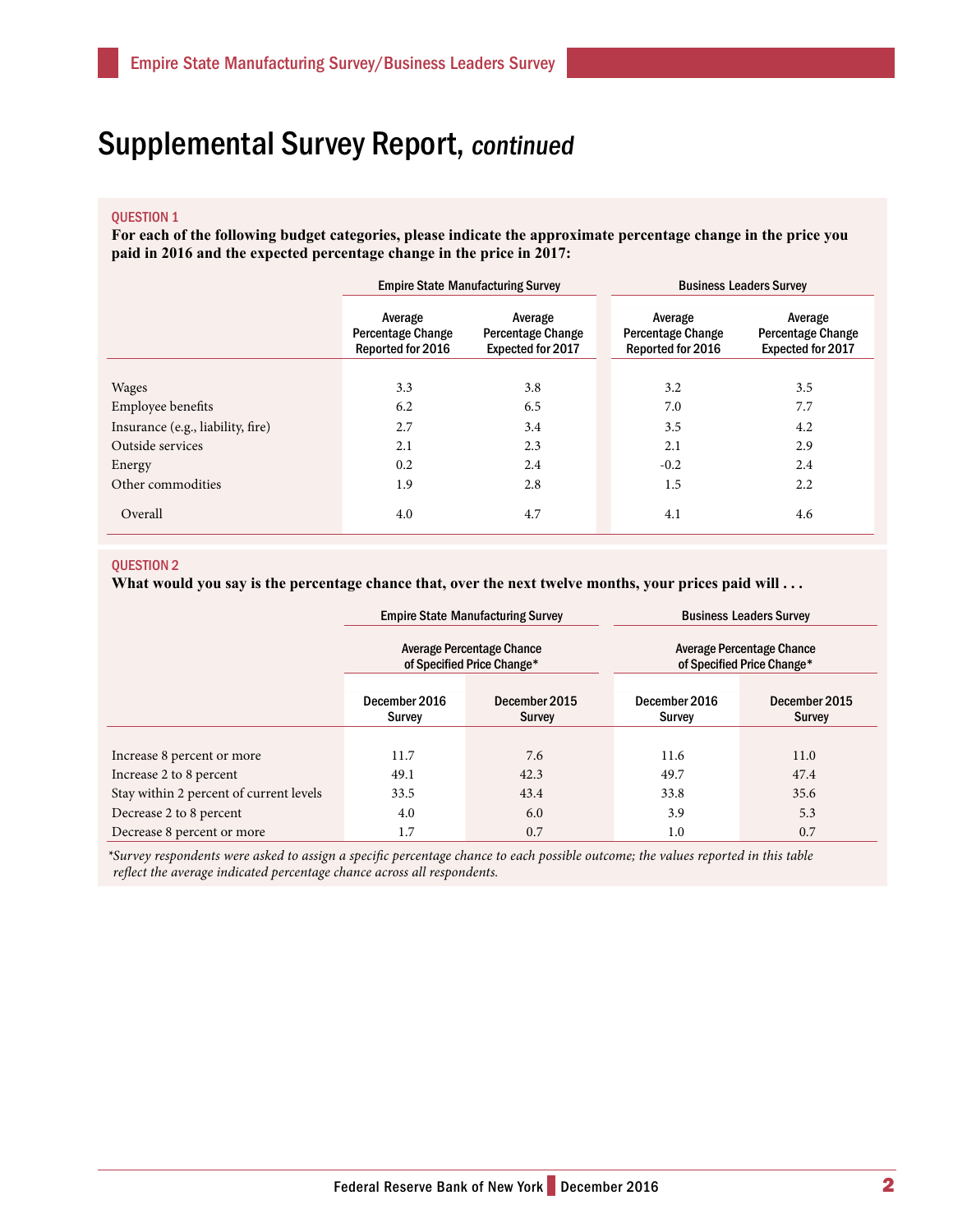## Supplemental Survey Report, continued

#### QUESTION 1

**For each of the following budget categories, please indicate the approximate percentage change in the price you paid in 2016 and the expected percentage change in the price in 2017:**

|                                   | <b>Empire State Manufacturing Survey</b>                 |                                                                 | <b>Business Leaders Survey</b>                           |                                                                 |  |
|-----------------------------------|----------------------------------------------------------|-----------------------------------------------------------------|----------------------------------------------------------|-----------------------------------------------------------------|--|
|                                   | Average<br><b>Percentage Change</b><br>Reported for 2016 | Average<br><b>Percentage Change</b><br><b>Expected for 2017</b> | Average<br><b>Percentage Change</b><br>Reported for 2016 | Average<br><b>Percentage Change</b><br><b>Expected for 2017</b> |  |
|                                   |                                                          |                                                                 |                                                          |                                                                 |  |
| Wages                             | 3.3                                                      | 3.8                                                             | 3.2                                                      | 3.5                                                             |  |
| <b>Employee benefits</b>          | 6.2                                                      | 6.5                                                             | 7.0                                                      | 7.7                                                             |  |
| Insurance (e.g., liability, fire) | 2.7                                                      | 3.4                                                             | 3.5                                                      | 4.2                                                             |  |
| Outside services                  | 2.1                                                      | 2.3                                                             | 2.1                                                      | 2.9                                                             |  |
| Energy                            | 0.2                                                      | 2.4                                                             | $-0.2$                                                   | 2.4                                                             |  |
| Other commodities                 | 1.9                                                      | 2.8                                                             | 1.5                                                      | 2.2                                                             |  |
| Overall                           | 4.0                                                      | 4.7                                                             | 4.1                                                      | 4.6                                                             |  |

#### QUESTION 2

**What would you say is the percentage chance that, over the next twelve months, your prices paid will . . .** 

|                                         |                                                         | <b>Empire State Manufacturing Survey</b> | <b>Business Leaders Survey</b>                          |                         |  |
|-----------------------------------------|---------------------------------------------------------|------------------------------------------|---------------------------------------------------------|-------------------------|--|
|                                         | Average Percentage Chance<br>of Specified Price Change* |                                          | Average Percentage Chance<br>of Specified Price Change* |                         |  |
|                                         | December 2016<br>Survey                                 | December 2015<br><b>Survey</b>           | December 2016<br>Survey                                 | December 2015<br>Survey |  |
|                                         |                                                         |                                          |                                                         |                         |  |
| Increase 8 percent or more              | 11.7                                                    | 7.6                                      | 11.6                                                    | 11.0                    |  |
| Increase 2 to 8 percent                 | 49.1                                                    | 42.3                                     | 49.7                                                    | 47.4                    |  |
| Stay within 2 percent of current levels | 33.5                                                    | 43.4                                     | 33.8                                                    | 35.6                    |  |
| Decrease 2 to 8 percent                 | 4.0                                                     | 6.0                                      | 3.9                                                     | 5.3                     |  |
| Decrease 8 percent or more              | 1.7                                                     | 0.7                                      | 1.0                                                     | 0.7                     |  |

*\*Survey respondents were asked to assign a specific percentage chance to each possible outcome; the values reported in this table reflect the average indicated percentage chance across all respondents.*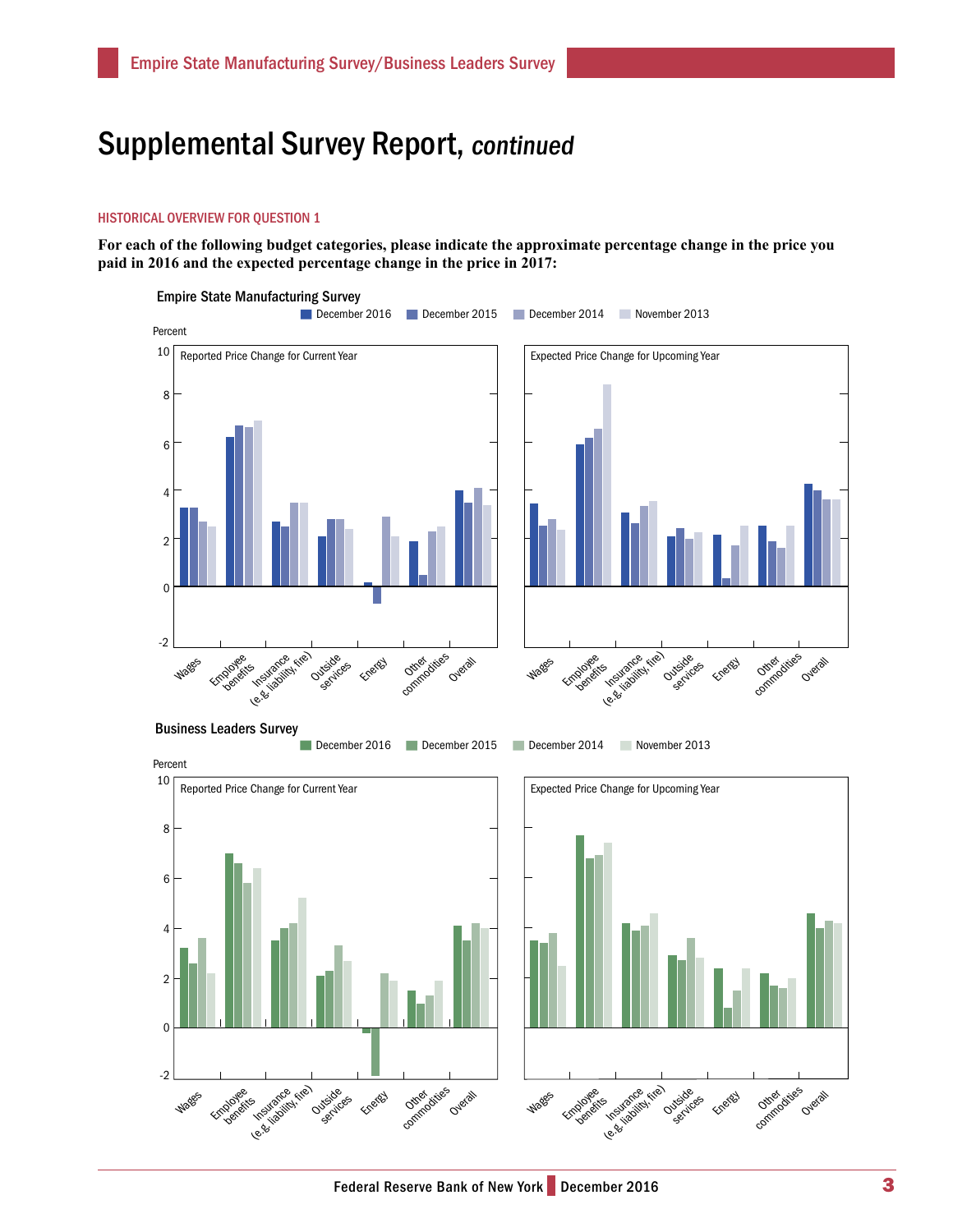### Supplemental Survey Report, continued

#### HISTORICAL OVERVIEW FOR QUESTION 1

**For each of the following budget categories, please indicate the approximate percentage change in the price you paid in 2016 and the expected percentage change in the price in 2017:**